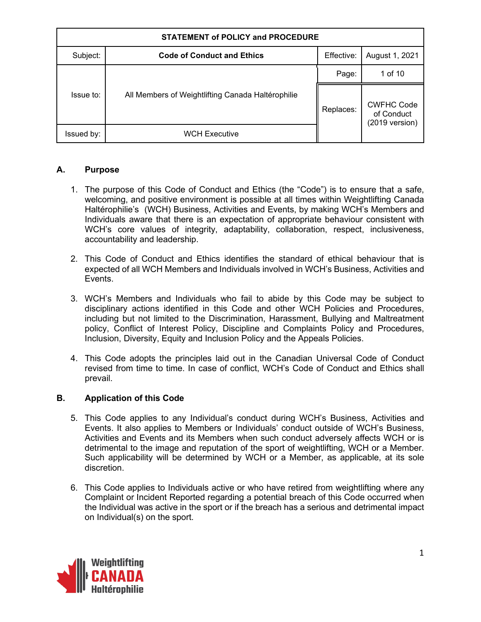| <b>STATEMENT of POLICY and PROCEDURE</b> |                                                   |            |                                                             |  |
|------------------------------------------|---------------------------------------------------|------------|-------------------------------------------------------------|--|
| Subject:                                 | <b>Code of Conduct and Ethics</b>                 | Effective: | August 1, 2021                                              |  |
|                                          |                                                   | Page:      | 1 of 10                                                     |  |
| Issue to:                                | All Members of Weightlifting Canada Haltérophilie | Replaces:  | <b>CWFHC Code</b><br>of Conduct<br>$(2019 \text{ version})$ |  |
| Issued by:                               | <b>WCH Executive</b>                              |            |                                                             |  |

## **A. Purpose**

- 1. The purpose of this Code of Conduct and Ethics (the "Code") is to ensure that a safe, welcoming, and positive environment is possible at all times within Weightlifting Canada Haltérophilie's (WCH) Business, Activities and Events, by making WCH's Members and Individuals aware that there is an expectation of appropriate behaviour consistent with WCH's core values of integrity, adaptability, collaboration, respect, inclusiveness, accountability and leadership.
- 2. This Code of Conduct and Ethics identifies the standard of ethical behaviour that is expected of all WCH Members and Individuals involved in WCH's Business, Activities and Events.
- 3. WCH's Members and Individuals who fail to abide by this Code may be subject to disciplinary actions identified in this Code and other WCH Policies and Procedures, including but not limited to the Discrimination, Harassment, Bullying and Maltreatment policy, Conflict of Interest Policy, Discipline and Complaints Policy and Procedures, Inclusion, Diversity, Equity and Inclusion Policy and the Appeals Policies.
- 4. This Code adopts the principles laid out in the Canadian Universal Code of Conduct revised from time to time. In case of conflict, WCH's Code of Conduct and Ethics shall prevail.

## **B. Application of this Code**

- 5. This Code applies to any Individual's conduct during WCH's Business, Activities and Events. It also applies to Members or Individuals' conduct outside of WCH's Business, Activities and Events and its Members when such conduct adversely affects WCH or is detrimental to the image and reputation of the sport of weightlifting, WCH or a Member. Such applicability will be determined by WCH or a Member, as applicable, at its sole discretion.
- 6. This Code applies to Individuals active or who have retired from weightlifting where any Complaint or Incident Reported regarding a potential breach of this Code occurred when the Individual was active in the sport or if the breach has a serious and detrimental impact on Individual(s) on the sport.

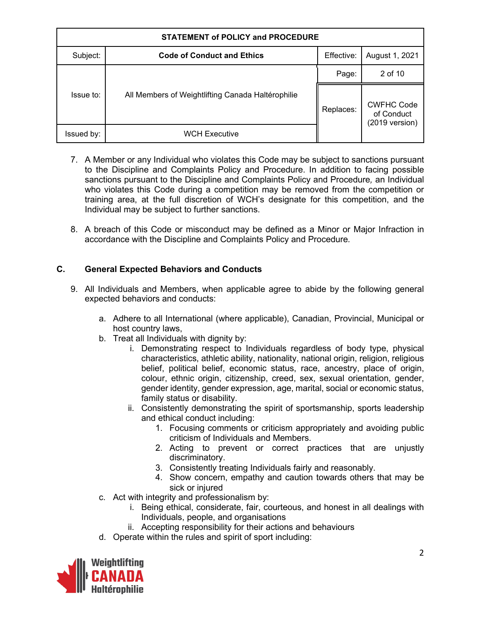| <b>STATEMENT of POLICY and PROCEDURE</b> |                                                   |            |                                                             |  |
|------------------------------------------|---------------------------------------------------|------------|-------------------------------------------------------------|--|
| Subject:                                 | <b>Code of Conduct and Ethics</b>                 | Effective: | August 1, 2021                                              |  |
|                                          |                                                   | Page:      | 2 of 10                                                     |  |
| Issue to:                                | All Members of Weightlifting Canada Haltérophilie | Replaces:  | <b>CWFHC Code</b><br>of Conduct<br>$(2019 \text{ version})$ |  |
| Issued by:                               | <b>WCH Executive</b>                              |            |                                                             |  |

- 7. A Member or any Individual who violates this Code may be subject to sanctions pursuant to the Discipline and Complaints Policy and Procedure. In addition to facing possible sanctions pursuant to the Discipline and Complaints Policy and Procedure*,* an Individual who violates this Code during a competition may be removed from the competition or training area, at the full discretion of WCH's designate for this competition, and the Individual may be subject to further sanctions.
- 8. A breach of this Code or misconduct may be defined as a Minor or Major Infraction in accordance with the Discipline and Complaints Policy and Procedure*.*

# **C. General Expected Behaviors and Conducts**

- 9. All Individuals and Members, when applicable agree to abide by the following general expected behaviors and conducts:
	- a. Adhere to all International (where applicable), Canadian, Provincial, Municipal or host country laws,
	- b. Treat all Individuals with dignity by:
		- i. Demonstrating respect to Individuals regardless of body type, physical characteristics, athletic ability, nationality, national origin, religion, religious belief, political belief, economic status, race, ancestry, place of origin, colour, ethnic origin, citizenship, creed, sex, sexual orientation, gender, gender identity, gender expression, age, marital, social or economic status, family status or disability.
		- ii. Consistently demonstrating the spirit of sportsmanship, sports leadership and ethical conduct including:
			- 1. Focusing comments or criticism appropriately and avoiding public criticism of Individuals and Members.
			- 2. Acting to prevent or correct practices that are unjustly discriminatory.
			- 3. Consistently treating Individuals fairly and reasonably.
			- 4. Show concern, empathy and caution towards others that may be sick or injured
	- c. Act with integrity and professionalism by:
		- i. Being ethical, considerate, fair, courteous, and honest in all dealings with Individuals, people, and organisations
		- ii. Accepting responsibility for their actions and behaviours
	- d. Operate within the rules and spirit of sport including:

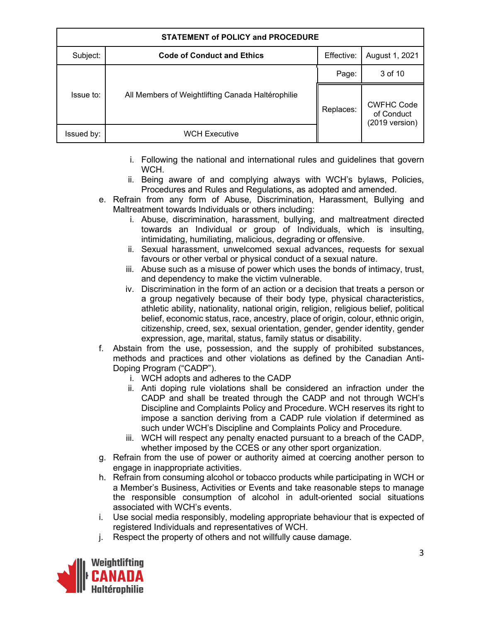| <b>STATEMENT of POLICY and PROCEDURE</b> |                                                   |            |                                                             |  |
|------------------------------------------|---------------------------------------------------|------------|-------------------------------------------------------------|--|
| Subject:                                 | <b>Code of Conduct and Ethics</b>                 | Effective: | August 1, 2021                                              |  |
|                                          |                                                   | Page:      | 3 of 10                                                     |  |
| Issue to:                                | All Members of Weightlifting Canada Haltérophilie | Replaces:  | <b>CWFHC Code</b><br>of Conduct<br>$(2019 \text{ version})$ |  |
| Issued by:                               | <b>WCH Executive</b>                              |            |                                                             |  |

- i. Following the national and international rules and guidelines that govern WCH.
- ii. Being aware of and complying always with WCH's bylaws, Policies, Procedures and Rules and Regulations, as adopted and amended.
- e. Refrain from any form of Abuse, Discrimination, Harassment, Bullying and Maltreatment towards Individuals or others including:
	- i. Abuse, discrimination, harassment, bullying, and maltreatment directed towards an Individual or group of Individuals, which is insulting, intimidating, humiliating, malicious, degrading or offensive.
	- ii. Sexual harassment, unwelcomed sexual advances, requests for sexual favours or other verbal or physical conduct of a sexual nature.
	- iii. Abuse such as a misuse of power which uses the bonds of intimacy, trust, and dependency to make the victim vulnerable.
	- iv. Discrimination in the form of an action or a decision that treats a person or a group negatively because of their body type, physical characteristics, athletic ability, nationality, national origin, religion, religious belief, political belief, economic status, race, ancestry, place of origin, colour, ethnic origin, citizenship, creed, sex, sexual orientation, gender, gender identity, gender expression, age, marital, status, family status or disability.
- f. Abstain from the use, possession, and the supply of prohibited substances, methods and practices and other violations as defined by the Canadian Anti-Doping Program ("CADP").
	- i. WCH adopts and adheres to the CADP
	- ii. Anti doping rule violations shall be considered an infraction under the CADP and shall be treated through the CADP and not through WCH's Discipline and Complaints Policy and Procedure. WCH reserves its right to impose a sanction deriving from a CADP rule violation if determined as such under WCH's Discipline and Complaints Policy and Procedure.
	- iii. WCH will respect any penalty enacted pursuant to a breach of the CADP, whether imposed by the CCES or any other sport organization.
- g. Refrain from the use of power or authority aimed at coercing another person to engage in inappropriate activities.
- h. Refrain from consuming alcohol or tobacco products while participating in WCH or a Member's Business, Activities or Events and take reasonable steps to manage the responsible consumption of alcohol in adult-oriented social situations associated with WCH's events.
- i. Use social media responsibly, modeling appropriate behaviour that is expected of registered Individuals and representatives of WCH.
- j. Respect the property of others and not willfully cause damage.

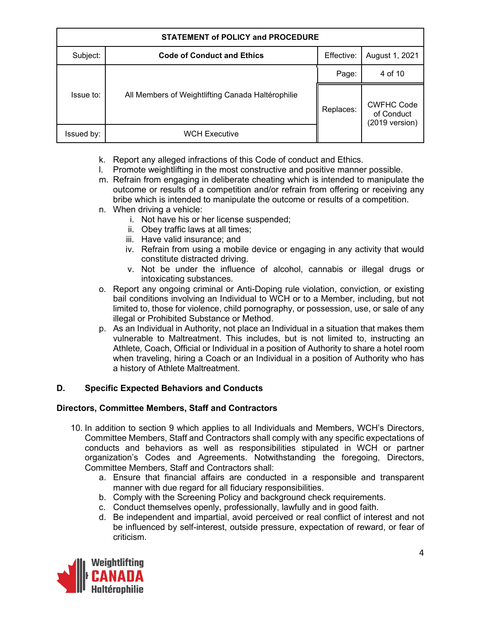| <b>STATEMENT of POLICY and PROCEDURE</b> |                                                   |            |                                                             |  |
|------------------------------------------|---------------------------------------------------|------------|-------------------------------------------------------------|--|
| Subject:                                 | <b>Code of Conduct and Ethics</b>                 | Effective: | August 1, 2021                                              |  |
|                                          |                                                   | Page:      | 4 of 10                                                     |  |
| Issue to:                                | All Members of Weightlifting Canada Haltérophilie | Replaces:  | <b>CWFHC Code</b><br>of Conduct<br>$(2019 \text{ version})$ |  |
| Issued by:                               | WCH Executive                                     |            |                                                             |  |

- k. Report any alleged infractions of this Code of conduct and Ethics.
- l. Promote weightlifting in the most constructive and positive manner possible.
- m. Refrain from engaging in deliberate cheating which is intended to manipulate the outcome or results of a competition and/or refrain from offering or receiving any bribe which is intended to manipulate the outcome or results of a competition.
- n. When driving a vehicle:
	- i. Not have his or her license suspended;
	- ii. Obey traffic laws at all times;
	- iii. Have valid insurance; and
	- iv. Refrain from using a mobile device or engaging in any activity that would constitute distracted driving.
	- v. Not be under the influence of alcohol, cannabis or illegal drugs or intoxicating substances.
- o. Report any ongoing criminal or Anti-Doping rule violation, conviction, or existing bail conditions involving an Individual to WCH or to a Member, including, but not limited to, those for violence, child pornography, or possession, use, or sale of any illegal or Prohibited Substance or Method.
- p. As an Individual in Authority, not place an Individual in a situation that makes them vulnerable to Maltreatment. This includes, but is not limited to, instructing an Athlete*,* Coach, Official or Individual in a position of Authority to share a hotel room when traveling, hiring a Coach or an Individual in a position of Authority who has a history of Athlete Maltreatment.

# **D. Specific Expected Behaviors and Conducts**

# **Directors, Committee Members, Staff and Contractors**

- 10. In addition to section 9 which applies to all Individuals and Members, WCH's Directors, Committee Members, Staff and Contractors shall comply with any specific expectations of conducts and behaviors as well as responsibilities stipulated in WCH or partner organization's Codes and Agreements. Notwithstanding the foregoing, Directors, Committee Members, Staff and Contractors shall:
	- a. Ensure that financial affairs are conducted in a responsible and transparent manner with due regard for all fiduciary responsibilities.
	- b. Comply with the Screening Policy and background check requirements.
	- c. Conduct themselves openly, professionally, lawfully and in good faith.
	- d. Be independent and impartial, avoid perceived or real conflict of interest and not be influenced by self-interest, outside pressure, expectation of reward, or fear of criticism.

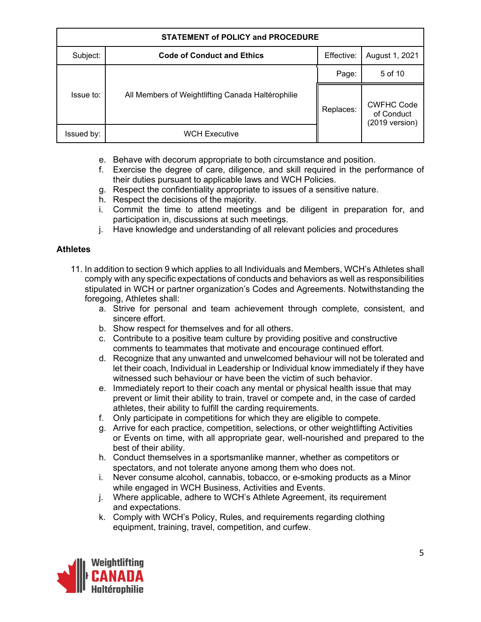| <b>STATEMENT of POLICY and PROCEDURE</b> |                                                   |            |                                                             |  |
|------------------------------------------|---------------------------------------------------|------------|-------------------------------------------------------------|--|
| Subject:                                 | <b>Code of Conduct and Ethics</b>                 | Effective: | August 1, 2021                                              |  |
|                                          |                                                   | Page:      | 5 of 10                                                     |  |
| Issue to:                                | All Members of Weightlifting Canada Haltérophilie | Replaces:  | <b>CWFHC Code</b><br>of Conduct<br>$(2019 \text{ version})$ |  |
| Issued by:                               | <b>WCH Executive</b>                              |            |                                                             |  |

- e. Behave with decorum appropriate to both circumstance and position.
- f. Exercise the degree of care, diligence, and skill required in the performance of their duties pursuant to applicable laws and WCH Policies.
- g. Respect the confidentiality appropriate to issues of a sensitive nature.
- h. Respect the decisions of the majority.
- i. Commit the time to attend meetings and be diligent in preparation for, and participation in, discussions at such meetings.
- j. Have knowledge and understanding of all relevant policies and procedures

#### **Athletes**

- 11. In addition to section 9 which applies to all Individuals and Members, WCH's Athletes shall comply with any specific expectations of conducts and behaviors as well as responsibilities stipulated in WCH or partner organization's Codes and Agreements. Notwithstanding the foregoing, Athletes shall:
	- a. Strive for personal and team achievement through complete, consistent, and sincere effort.
	- b. Show respect for themselves and for all others.
	- c. Contribute to a positive team culture by providing positive and constructive comments to teammates that motivate and encourage continued effort.
	- d. Recognize that any unwanted and unwelcomed behaviour will not be tolerated and let their coach, Individual in Leadership or Individual know immediately if they have witnessed such behaviour or have been the victim of such behavior.
	- e. Immediately report to their coach any mental or physical health issue that may prevent or limit their ability to train, travel or compete and, in the case of carded athletes, their ability to fulfill the carding requirements.
	- f. Only participate in competitions for which they are eligible to compete.
	- g. Arrive for each practice, competition, selections, or other weightlifting Activities or Events on time, with all appropriate gear, well-nourished and prepared to the best of their ability.
	- h. Conduct themselves in a sportsmanlike manner, whether as competitors or spectators, and not tolerate anyone among them who does not.
	- i. Never consume alcohol, cannabis, tobacco, or e-smoking products as a Minor while engaged in WCH Business, Activities and Events.
	- j. Where applicable, adhere to WCH's Athlete Agreement, its requirement and expectations.
	- k. Comply with WCH's Policy, Rules, and requirements regarding clothing equipment, training, travel, competition, and curfew.

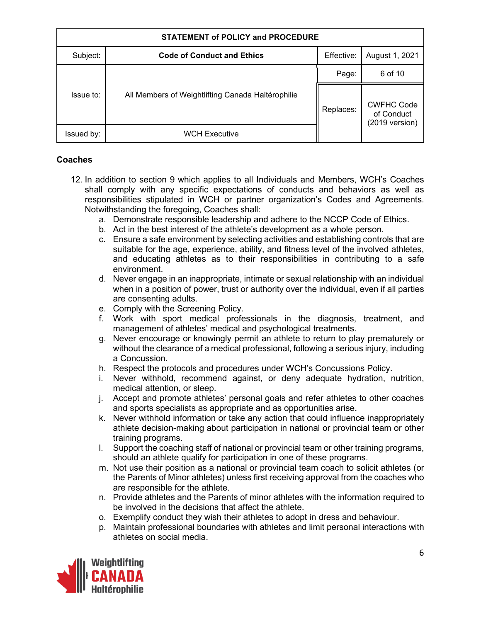| <b>STATEMENT of POLICY and PROCEDURE</b> |                                                   |            |                                                             |  |
|------------------------------------------|---------------------------------------------------|------------|-------------------------------------------------------------|--|
| Subject:                                 | <b>Code of Conduct and Ethics</b>                 | Effective: | August 1, 2021                                              |  |
|                                          |                                                   | Page:      | 6 of 10                                                     |  |
| Issue to:                                | All Members of Weightlifting Canada Haltérophilie | Replaces:  | <b>CWFHC Code</b><br>of Conduct<br>$(2019 \text{ version})$ |  |
| Issued by:                               | <b>WCH Executive</b>                              |            |                                                             |  |

#### **Coaches**

- 12. In addition to section 9 which applies to all Individuals and Members, WCH's Coaches shall comply with any specific expectations of conducts and behaviors as well as responsibilities stipulated in WCH or partner organization's Codes and Agreements. Notwithstanding the foregoing, Coaches shall:
	- a. Demonstrate responsible leadership and adhere to the NCCP Code of Ethics.
	- b. Act in the best interest of the athlete's development as a whole person.
	- c. Ensure a safe environment by selecting activities and establishing controls that are suitable for the age, experience, ability, and fitness level of the involved athletes, and educating athletes as to their responsibilities in contributing to a safe environment.
	- d. Never engage in an inappropriate, intimate or sexual relationship with an individual when in a position of power, trust or authority over the individual, even if all parties are consenting adults.
	- e. Comply with the Screening Policy.
	- f. Work with sport medical professionals in the diagnosis, treatment, and management of athletes' medical and psychological treatments.
	- g. Never encourage or knowingly permit an athlete to return to play prematurely or without the clearance of a medical professional, following a serious injury, including a Concussion.
	- h. Respect the protocols and procedures under WCH's Concussions Policy.
	- i. Never withhold, recommend against, or deny adequate hydration, nutrition, medical attention, or sleep.
	- j. Accept and promote athletes' personal goals and refer athletes to other coaches and sports specialists as appropriate and as opportunities arise.
	- k. Never withhold information or take any action that could influence inappropriately athlete decision-making about participation in national or provincial team or other training programs.
	- l. Support the coaching staff of national or provincial team or other training programs, should an athlete qualify for participation in one of these programs.
	- m. Not use their position as a national or provincial team coach to solicit athletes (or the Parents of Minor athletes) unless first receiving approval from the coaches who are responsible for the athlete.
	- n. Provide athletes and the Parents of minor athletes with the information required to be involved in the decisions that affect the athlete.
	- o. Exemplify conduct they wish their athletes to adopt in dress and behaviour.
	- p. Maintain professional boundaries with athletes and limit personal interactions with athletes on social media.

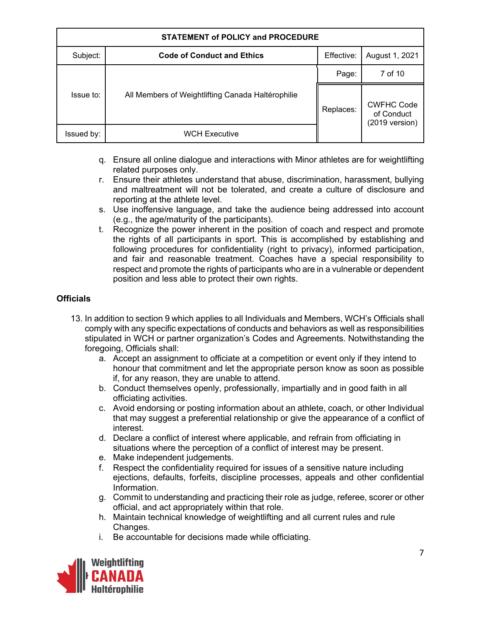| <b>STATEMENT of POLICY and PROCEDURE</b> |                                                   |            |                                                             |  |
|------------------------------------------|---------------------------------------------------|------------|-------------------------------------------------------------|--|
| Subject:                                 | <b>Code of Conduct and Ethics</b>                 | Effective: | August 1, 2021                                              |  |
|                                          |                                                   | Page:      | 7 of 10                                                     |  |
| Issue to:                                | All Members of Weightlifting Canada Haltérophilie | Replaces:  | <b>CWFHC Code</b><br>of Conduct<br>$(2019 \text{ version})$ |  |
| Issued by:                               | <b>WCH Executive</b>                              |            |                                                             |  |

- q. Ensure all online dialogue and interactions with Minor athletes are for weightlifting related purposes only.
- r. Ensure their athletes understand that abuse, discrimination, harassment, bullying and maltreatment will not be tolerated, and create a culture of disclosure and reporting at the athlete level.
- s. Use inoffensive language, and take the audience being addressed into account (e.g., the age/maturity of the participants).
- t. Recognize the power inherent in the position of coach and respect and promote the rights of all participants in sport. This is accomplished by establishing and following procedures for confidentiality (right to privacy), informed participation, and fair and reasonable treatment. Coaches have a special responsibility to respect and promote the rights of participants who are in a vulnerable or dependent position and less able to protect their own rights.

## **Officials**

- 13. In addition to section 9 which applies to all Individuals and Members, WCH's Officials shall comply with any specific expectations of conducts and behaviors as well as responsibilities stipulated in WCH or partner organization's Codes and Agreements. Notwithstanding the foregoing, Officials shall:
	- a. Accept an assignment to officiate at a competition or event only if they intend to honour that commitment and let the appropriate person know as soon as possible if, for any reason, they are unable to attend.
	- b. Conduct themselves openly, professionally, impartially and in good faith in all officiating activities.
	- c. Avoid endorsing or posting information about an athlete, coach, or other Individual that may suggest a preferential relationship or give the appearance of a conflict of interest.
	- d. Declare a conflict of interest where applicable, and refrain from officiating in situations where the perception of a conflict of interest may be present.
	- e. Make independent judgements.
	- f. Respect the confidentiality required for issues of a sensitive nature including ejections, defaults, forfeits, discipline processes, appeals and other confidential Information.
	- g. Commit to understanding and practicing their role as judge, referee, scorer or other official, and act appropriately within that role.
	- h. Maintain technical knowledge of weightlifting and all current rules and rule Changes.
	- i. Be accountable for decisions made while officiating.

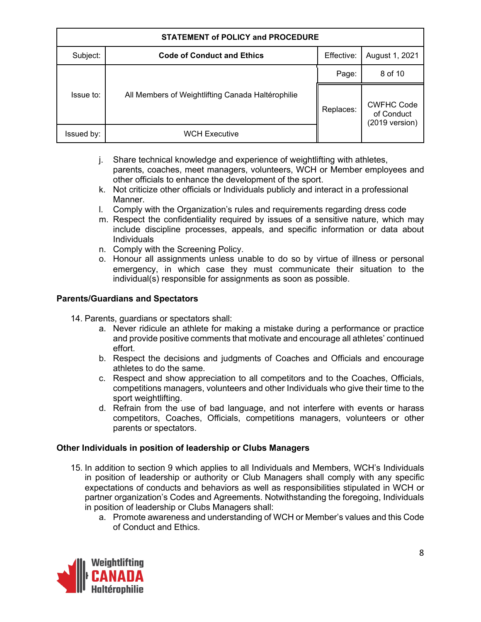| <b>STATEMENT of POLICY and PROCEDURE</b> |                                                   |            |                                                             |  |
|------------------------------------------|---------------------------------------------------|------------|-------------------------------------------------------------|--|
| Subject:                                 | <b>Code of Conduct and Ethics</b>                 | Effective: | August 1, 2021                                              |  |
|                                          |                                                   | Page:      | 8 of 10                                                     |  |
| Issue to:                                | All Members of Weightlifting Canada Haltérophilie | Replaces:  | <b>CWFHC Code</b><br>of Conduct<br>$(2019 \text{ version})$ |  |
| Issued by:                               | <b>WCH Executive</b>                              |            |                                                             |  |

- j. Share technical knowledge and experience of weightlifting with athletes, parents, coaches, meet managers, volunteers, WCH or Member employees and other officials to enhance the development of the sport.
- k. Not criticize other officials or Individuals publicly and interact in a professional Manner.
- l. Comply with the Organization's rules and requirements regarding dress code
- m. Respect the confidentiality required by issues of a sensitive nature, which may include discipline processes, appeals, and specific information or data about Individuals
- n. Comply with the Screening Policy.
- o. Honour all assignments unless unable to do so by virtue of illness or personal emergency, in which case they must communicate their situation to the individual(s) responsible for assignments as soon as possible.

#### **Parents/Guardians and Spectators**

- 14. Parents, guardians or spectators shall:
	- a. Never ridicule an athlete for making a mistake during a performance or practice and provide positive comments that motivate and encourage all athletes' continued effort.
	- b. Respect the decisions and judgments of Coaches and Officials and encourage athletes to do the same.
	- c. Respect and show appreciation to all competitors and to the Coaches, Officials, competitions managers, volunteers and other Individuals who give their time to the sport weightlifting.
	- d. Refrain from the use of bad language, and not interfere with events or harass competitors, Coaches, Officials, competitions managers, volunteers or other parents or spectators.

#### **Other Individuals in position of leadership or Clubs Managers**

- 15. In addition to section 9 which applies to all Individuals and Members, WCH's Individuals in position of leadership or authority or Club Managers shall comply with any specific expectations of conducts and behaviors as well as responsibilities stipulated in WCH or partner organization's Codes and Agreements. Notwithstanding the foregoing, Individuals in position of leadership or Clubs Managers shall:
	- a. Promote awareness and understanding of WCH or Member's values and this Code of Conduct and Ethics.

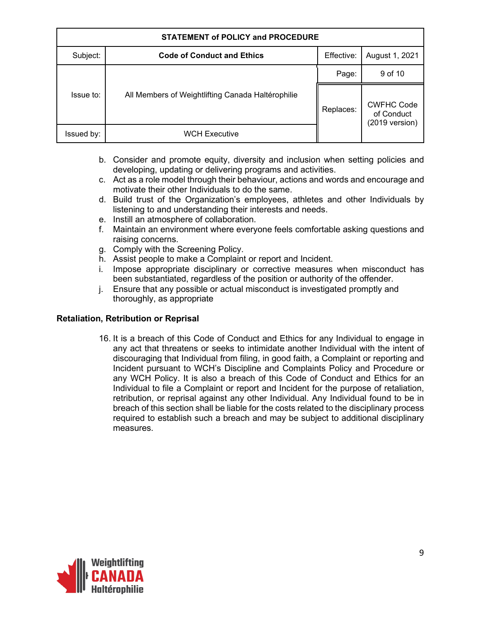| <b>STATEMENT of POLICY and PROCEDURE</b> |                                                   |            |                                                             |  |
|------------------------------------------|---------------------------------------------------|------------|-------------------------------------------------------------|--|
| Subject:                                 | <b>Code of Conduct and Ethics</b>                 | Effective: | August 1, 2021                                              |  |
|                                          |                                                   | Page:      | 9 of 10                                                     |  |
| Issue to:                                | All Members of Weightlifting Canada Haltérophilie | Replaces:  | <b>CWFHC Code</b><br>of Conduct<br>$(2019 \text{ version})$ |  |
| Issued by:                               | WCH Executive                                     |            |                                                             |  |

- b. Consider and promote equity, diversity and inclusion when setting policies and developing, updating or delivering programs and activities.
- c. Act as a role model through their behaviour, actions and words and encourage and motivate their other Individuals to do the same.
- d. Build trust of the Organization's employees, athletes and other Individuals by listening to and understanding their interests and needs.
- e. Instill an atmosphere of collaboration.
- f. Maintain an environment where everyone feels comfortable asking questions and raising concerns.
- g. Comply with the Screening Policy.
- h. Assist people to make a Complaint or report and Incident.
- i. Impose appropriate disciplinary or corrective measures when misconduct has been substantiated, regardless of the position or authority of the offender.
- j. Ensure that any possible or actual misconduct is investigated promptly and thoroughly, as appropriate

#### **Retaliation, Retribution or Reprisal**

16. It is a breach of this Code of Conduct and Ethics for any Individual to engage in any act that threatens or seeks to intimidate another Individual with the intent of discouraging that Individual from filing, in good faith, a Complaint or reporting and Incident pursuant to WCH's Discipline and Complaints Policy and Procedure or any WCH Policy. It is also a breach of this Code of Conduct and Ethics for an Individual to file a Complaint or report and Incident for the purpose of retaliation, retribution, or reprisal against any other Individual. Any Individual found to be in breach of this section shall be liable for the costs related to the disciplinary process required to establish such a breach and may be subject to additional disciplinary measures.